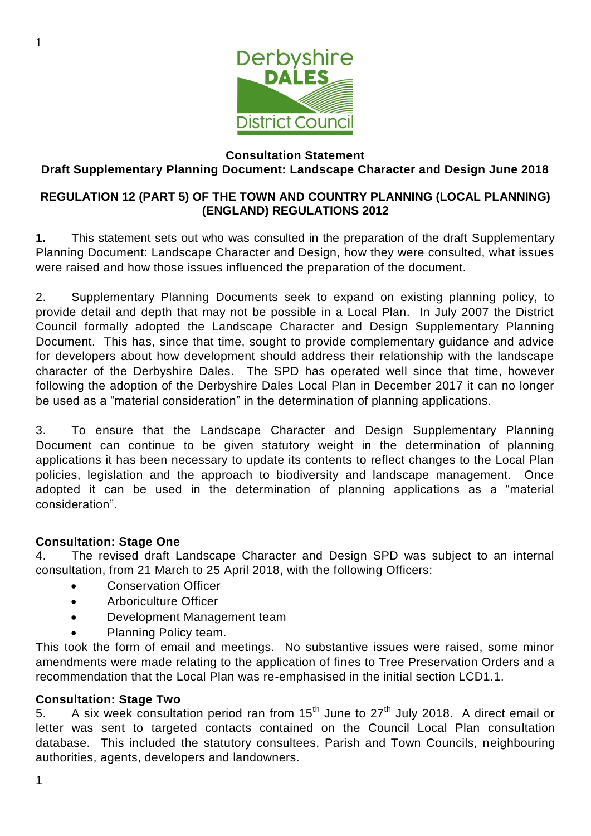

#### **Consultation Statement Draft Supplementary Planning Document: Landscape Character and Design June 2018**

### **REGULATION 12 (PART 5) OF THE TOWN AND COUNTRY PLANNING (LOCAL PLANNING) (ENGLAND) REGULATIONS 2012**

**1.** This statement sets out who was consulted in the preparation of the draft Supplementary Planning Document: Landscape Character and Design, how they were consulted, what issues were raised and how those issues influenced the preparation of the document.

2. Supplementary Planning Documents seek to expand on existing planning policy, to provide detail and depth that may not be possible in a Local Plan. In July 2007 the District Council formally adopted the Landscape Character and Design Supplementary Planning Document. This has, since that time, sought to provide complementary guidance and advice for developers about how development should address their relationship with the landscape character of the Derbyshire Dales. The SPD has operated well since that time, however following the adoption of the Derbyshire Dales Local Plan in December 2017 it can no longer be used as a "material consideration" in the determination of planning applications.

3. To ensure that the Landscape Character and Design Supplementary Planning Document can continue to be given statutory weight in the determination of planning applications it has been necessary to update its contents to reflect changes to the Local Plan policies, legislation and the approach to biodiversity and landscape management. Once adopted it can be used in the determination of planning applications as a "material consideration".

# **Consultation: Stage One**

4. The revised draft Landscape Character and Design SPD was subject to an internal consultation, from 21 March to 25 April 2018, with the following Officers:

- **•** Conservation Officer
- Arboriculture Officer
- Development Management team
- Planning Policy team.

This took the form of email and meetings. No substantive issues were raised, some minor amendments were made relating to the application of fines to Tree Preservation Orders and a recommendation that the Local Plan was re-emphasised in the initial section LCD1.1.

# **Consultation: Stage Two**

5. A six week consultation period ran from 15<sup>th</sup> June to 27<sup>th</sup> July 2018. A direct email or letter was sent to targeted contacts contained on the Council Local Plan consultation database. This included the statutory consultees, Parish and Town Councils, neighbouring authorities, agents, developers and landowners.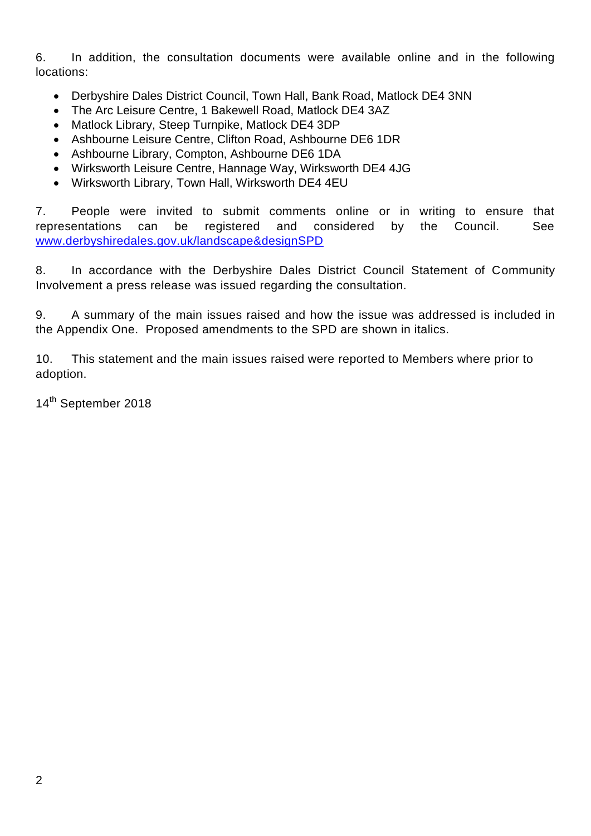6. In addition, the consultation documents were available online and in the following locations:

- Derbyshire Dales District Council, Town Hall, Bank Road, Matlock DE4 3NN
- The Arc Leisure Centre, 1 Bakewell Road, Matlock DE4 3AZ
- Matlock Library, Steep Turnpike, Matlock DE4 3DP
- Ashbourne Leisure Centre, Clifton Road, Ashbourne DE6 1DR
- Ashbourne Library, Compton, Ashbourne DE6 1DA
- Wirksworth Leisure Centre, Hannage Way, Wirksworth DE4 4JG
- Wirksworth Library, Town Hall, Wirksworth DE4 4EU

7. People were invited to submit comments online or in writing to ensure that representations can be registered and considered by the Council. See [www.derbyshiredales.gov.uk/landscape&designSPD](http://www.derbyshiredales.gov.uk/landscape&designSPD)

8. In accordance with the Derbyshire Dales District Council Statement of Community Involvement a press release was issued regarding the consultation.

9. A summary of the main issues raised and how the issue was addressed is included in the Appendix One. Proposed amendments to the SPD are shown in italics.

10. This statement and the main issues raised were reported to Members where prior to adoption.

14<sup>th</sup> September 2018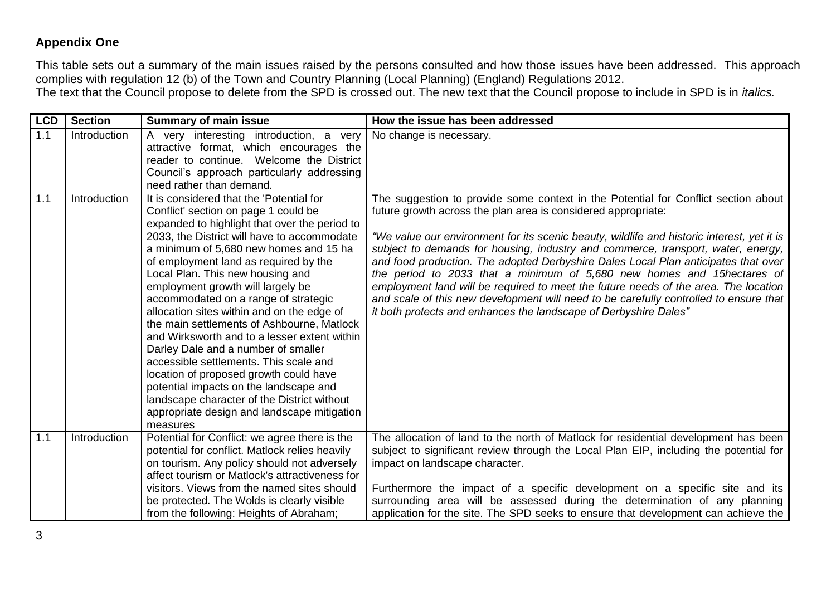### **Appendix One**

This table sets out a summary of the main issues raised by the persons consulted and how those issues have been addressed. This approach complies with regulation 12 (b) of the Town and Country Planning (Local Planning) (England) Regulations 2012. The text that the Council propose to delete from the SPD is crossed out. The new text that the Council propose to include in SPD is in *italics.*

| <b>LCD</b> | <b>Section</b> | <b>Summary of main issue</b>                                                                                                                                                                                                                                                                                                                                                                                                                                                                                                                                                                                                                                                                                                                                                                                    | How the issue has been addressed                                                                                                                                                                                                                                                                                                                                                                                                                                                                                                                                                                                                                                                                                                                          |
|------------|----------------|-----------------------------------------------------------------------------------------------------------------------------------------------------------------------------------------------------------------------------------------------------------------------------------------------------------------------------------------------------------------------------------------------------------------------------------------------------------------------------------------------------------------------------------------------------------------------------------------------------------------------------------------------------------------------------------------------------------------------------------------------------------------------------------------------------------------|-----------------------------------------------------------------------------------------------------------------------------------------------------------------------------------------------------------------------------------------------------------------------------------------------------------------------------------------------------------------------------------------------------------------------------------------------------------------------------------------------------------------------------------------------------------------------------------------------------------------------------------------------------------------------------------------------------------------------------------------------------------|
| 1.1        | Introduction   | A very interesting introduction, a very<br>attractive format, which encourages the<br>reader to continue. Welcome the District<br>Council's approach particularly addressing<br>need rather than demand.                                                                                                                                                                                                                                                                                                                                                                                                                                                                                                                                                                                                        | No change is necessary.                                                                                                                                                                                                                                                                                                                                                                                                                                                                                                                                                                                                                                                                                                                                   |
| 1.1        | Introduction   | It is considered that the 'Potential for<br>Conflict' section on page 1 could be<br>expanded to highlight that over the period to<br>2033, the District will have to accommodate<br>a minimum of 5,680 new homes and 15 ha<br>of employment land as required by the<br>Local Plan. This new housing and<br>employment growth will largely be<br>accommodated on a range of strategic<br>allocation sites within and on the edge of<br>the main settlements of Ashbourne, Matlock<br>and Wirksworth and to a lesser extent within<br>Darley Dale and a number of smaller<br>accessible settlements. This scale and<br>location of proposed growth could have<br>potential impacts on the landscape and<br>landscape character of the District without<br>appropriate design and landscape mitigation<br>measures | The suggestion to provide some context in the Potential for Conflict section about<br>future growth across the plan area is considered appropriate:<br>"We value our environment for its scenic beauty, wildlife and historic interest, yet it is<br>subject to demands for housing, industry and commerce, transport, water, energy,<br>and food production. The adopted Derbyshire Dales Local Plan anticipates that over<br>the period to 2033 that a minimum of 5,680 new homes and 15hectares of<br>employment land will be required to meet the future needs of the area. The location<br>and scale of this new development will need to be carefully controlled to ensure that<br>it both protects and enhances the landscape of Derbyshire Dales" |
| 1.1        | Introduction   | Potential for Conflict: we agree there is the<br>potential for conflict. Matlock relies heavily<br>on tourism. Any policy should not adversely<br>affect tourism or Matlock's attractiveness for                                                                                                                                                                                                                                                                                                                                                                                                                                                                                                                                                                                                                | The allocation of land to the north of Matlock for residential development has been<br>subject to significant review through the Local Plan EIP, including the potential for<br>impact on landscape character.                                                                                                                                                                                                                                                                                                                                                                                                                                                                                                                                            |
|            |                | visitors. Views from the named sites should<br>be protected. The Wolds is clearly visible<br>from the following: Heights of Abraham;                                                                                                                                                                                                                                                                                                                                                                                                                                                                                                                                                                                                                                                                            | Furthermore the impact of a specific development on a specific site and its<br>surrounding area will be assessed during the determination of any planning<br>application for the site. The SPD seeks to ensure that development can achieve the                                                                                                                                                                                                                                                                                                                                                                                                                                                                                                           |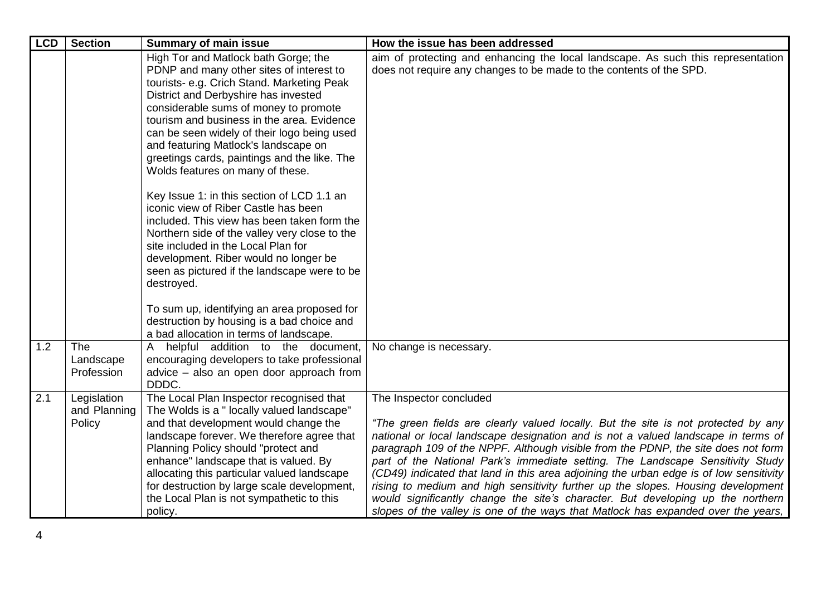| <b>LCD</b> | <b>Section</b>                        | <b>Summary of main issue</b>                                                                                                                                                                                                                                                                                                                                                                                                                                                                                                                                                                                                                                                                                                                                                                                                                                                                                         | How the issue has been addressed                                                                                                                                                                                                                                                                                                                                                                                                                                                                                                                                                                                                                                                                                                |
|------------|---------------------------------------|----------------------------------------------------------------------------------------------------------------------------------------------------------------------------------------------------------------------------------------------------------------------------------------------------------------------------------------------------------------------------------------------------------------------------------------------------------------------------------------------------------------------------------------------------------------------------------------------------------------------------------------------------------------------------------------------------------------------------------------------------------------------------------------------------------------------------------------------------------------------------------------------------------------------|---------------------------------------------------------------------------------------------------------------------------------------------------------------------------------------------------------------------------------------------------------------------------------------------------------------------------------------------------------------------------------------------------------------------------------------------------------------------------------------------------------------------------------------------------------------------------------------------------------------------------------------------------------------------------------------------------------------------------------|
|            |                                       | High Tor and Matlock bath Gorge; the<br>PDNP and many other sites of interest to<br>tourists- e.g. Crich Stand. Marketing Peak<br>District and Derbyshire has invested<br>considerable sums of money to promote<br>tourism and business in the area. Evidence<br>can be seen widely of their logo being used<br>and featuring Matlock's landscape on<br>greetings cards, paintings and the like. The<br>Wolds features on many of these.<br>Key Issue 1: in this section of LCD 1.1 an<br>iconic view of Riber Castle has been<br>included. This view has been taken form the<br>Northern side of the valley very close to the<br>site included in the Local Plan for<br>development. Riber would no longer be<br>seen as pictured if the landscape were to be<br>destroyed.<br>To sum up, identifying an area proposed for<br>destruction by housing is a bad choice and<br>a bad allocation in terms of landscape. | aim of protecting and enhancing the local landscape. As such this representation<br>does not require any changes to be made to the contents of the SPD.                                                                                                                                                                                                                                                                                                                                                                                                                                                                                                                                                                         |
| 1.2        | <b>The</b><br>Landscape<br>Profession | A helpful addition to the document,<br>encouraging developers to take professional<br>advice – also an open door approach from<br>DDDC.                                                                                                                                                                                                                                                                                                                                                                                                                                                                                                                                                                                                                                                                                                                                                                              | No change is necessary.                                                                                                                                                                                                                                                                                                                                                                                                                                                                                                                                                                                                                                                                                                         |
| 2.1        | Legislation<br>and Planning<br>Policy | The Local Plan Inspector recognised that<br>The Wolds is a " locally valued landscape"<br>and that development would change the<br>landscape forever. We therefore agree that<br>Planning Policy should "protect and<br>enhance" landscape that is valued. By<br>allocating this particular valued landscape<br>for destruction by large scale development,<br>the Local Plan is not sympathetic to this<br>policy.                                                                                                                                                                                                                                                                                                                                                                                                                                                                                                  | The Inspector concluded<br>"The green fields are clearly valued locally. But the site is not protected by any<br>national or local landscape designation and is not a valued landscape in terms of<br>paragraph 109 of the NPPF. Although visible from the PDNP, the site does not form<br>part of the National Park's immediate setting. The Landscape Sensitivity Study<br>(CD49) indicated that land in this area adjoining the urban edge is of low sensitivity<br>rising to medium and high sensitivity further up the slopes. Housing development<br>would significantly change the site's character. But developing up the northern<br>slopes of the valley is one of the ways that Matlock has expanded over the years, |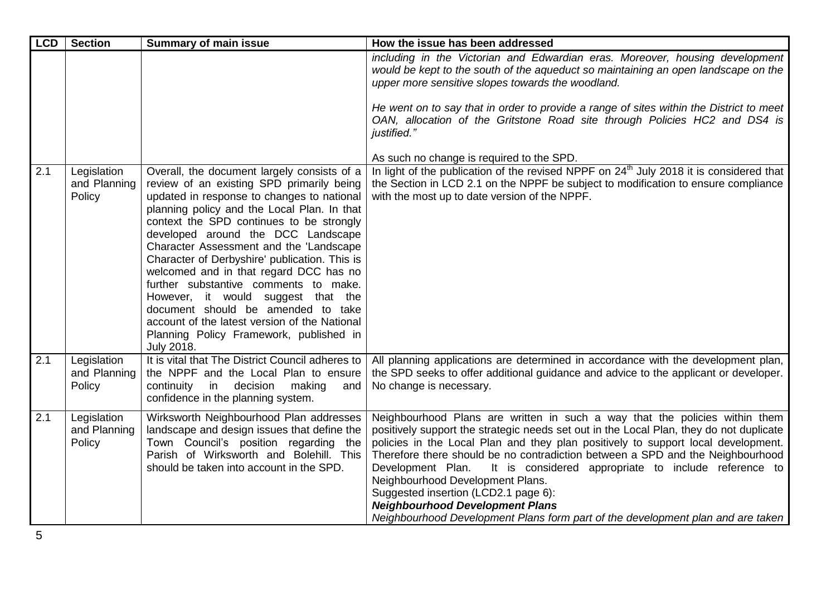| <b>LCD</b> | <b>Section</b>                        | <b>Summary of main issue</b>                                                                                                                                                                                                                                                                                                                                                                                                                                                                                                                                                                                                                        | How the issue has been addressed                                                                                                                                                                                                                                                                                                                                                                                                                                                                                                                                                                                                 |
|------------|---------------------------------------|-----------------------------------------------------------------------------------------------------------------------------------------------------------------------------------------------------------------------------------------------------------------------------------------------------------------------------------------------------------------------------------------------------------------------------------------------------------------------------------------------------------------------------------------------------------------------------------------------------------------------------------------------------|----------------------------------------------------------------------------------------------------------------------------------------------------------------------------------------------------------------------------------------------------------------------------------------------------------------------------------------------------------------------------------------------------------------------------------------------------------------------------------------------------------------------------------------------------------------------------------------------------------------------------------|
|            |                                       |                                                                                                                                                                                                                                                                                                                                                                                                                                                                                                                                                                                                                                                     | including in the Victorian and Edwardian eras. Moreover, housing development<br>would be kept to the south of the aqueduct so maintaining an open landscape on the<br>upper more sensitive slopes towards the woodland.                                                                                                                                                                                                                                                                                                                                                                                                          |
|            |                                       |                                                                                                                                                                                                                                                                                                                                                                                                                                                                                                                                                                                                                                                     | He went on to say that in order to provide a range of sites within the District to meet<br>OAN, allocation of the Gritstone Road site through Policies HC2 and DS4 is<br>justified."                                                                                                                                                                                                                                                                                                                                                                                                                                             |
|            |                                       |                                                                                                                                                                                                                                                                                                                                                                                                                                                                                                                                                                                                                                                     | As such no change is required to the SPD.                                                                                                                                                                                                                                                                                                                                                                                                                                                                                                                                                                                        |
| 2.1        | Legislation<br>and Planning<br>Policy | Overall, the document largely consists of a<br>review of an existing SPD primarily being<br>updated in response to changes to national<br>planning policy and the Local Plan. In that<br>context the SPD continues to be strongly<br>developed around the DCC Landscape<br>Character Assessment and the 'Landscape<br>Character of Derbyshire' publication. This is<br>welcomed and in that regard DCC has no<br>further substantive comments to make.<br>However, it would suggest that the<br>document should be amended to take<br>account of the latest version of the National<br>Planning Policy Framework, published in<br><b>July 2018.</b> | In light of the publication of the revised NPPF on $24th$ July 2018 it is considered that<br>the Section in LCD 2.1 on the NPPF be subject to modification to ensure compliance<br>with the most up to date version of the NPPF.                                                                                                                                                                                                                                                                                                                                                                                                 |
| 2.1        | Legislation<br>and Planning<br>Policy | It is vital that The District Council adheres to<br>the NPPF and the Local Plan to ensure<br>continuity<br>in<br>decision<br>making<br>and<br>confidence in the planning system.                                                                                                                                                                                                                                                                                                                                                                                                                                                                    | All planning applications are determined in accordance with the development plan,<br>the SPD seeks to offer additional guidance and advice to the applicant or developer.<br>No change is necessary.                                                                                                                                                                                                                                                                                                                                                                                                                             |
| 2.1        | Legislation<br>and Planning<br>Policy | Wirksworth Neighbourhood Plan addresses<br>landscape and design issues that define the<br>Town Council's position regarding the<br>Parish of Wirksworth and Bolehill. This<br>should be taken into account in the SPD.                                                                                                                                                                                                                                                                                                                                                                                                                              | Neighbourhood Plans are written in such a way that the policies within them<br>positively support the strategic needs set out in the Local Plan, they do not duplicate<br>policies in the Local Plan and they plan positively to support local development.<br>Therefore there should be no contradiction between a SPD and the Neighbourhood<br>Development Plan. It is considered appropriate to include reference to<br>Neighbourhood Development Plans.<br>Suggested insertion (LCD2.1 page 6):<br><b>Neighbourhood Development Plans</b><br>Neighbourhood Development Plans form part of the development plan and are taken |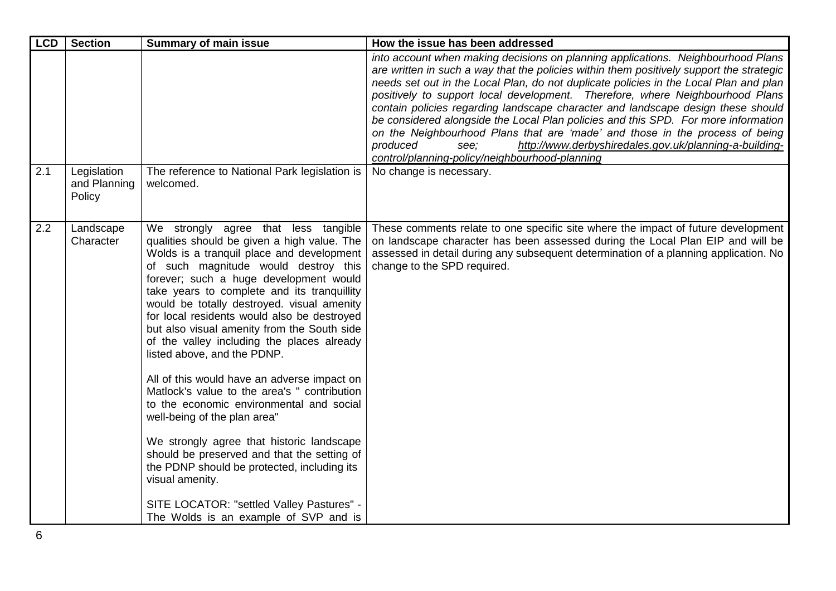| <b>LCD</b> | <b>Section</b>                        | <b>Summary of main issue</b>                                                                                                                                                                                                                                                                                                                                                                                                                                                                                                                                                                                                                                                                                                                                                                                                                                                                                              | How the issue has been addressed                                                                                                                                                                                                                                                                                                                                                                                                                                                                                                                                                                                                                                                                                                                 |
|------------|---------------------------------------|---------------------------------------------------------------------------------------------------------------------------------------------------------------------------------------------------------------------------------------------------------------------------------------------------------------------------------------------------------------------------------------------------------------------------------------------------------------------------------------------------------------------------------------------------------------------------------------------------------------------------------------------------------------------------------------------------------------------------------------------------------------------------------------------------------------------------------------------------------------------------------------------------------------------------|--------------------------------------------------------------------------------------------------------------------------------------------------------------------------------------------------------------------------------------------------------------------------------------------------------------------------------------------------------------------------------------------------------------------------------------------------------------------------------------------------------------------------------------------------------------------------------------------------------------------------------------------------------------------------------------------------------------------------------------------------|
|            |                                       |                                                                                                                                                                                                                                                                                                                                                                                                                                                                                                                                                                                                                                                                                                                                                                                                                                                                                                                           | into account when making decisions on planning applications. Neighbourhood Plans<br>are written in such a way that the policies within them positively support the strategic<br>needs set out in the Local Plan, do not duplicate policies in the Local Plan and plan<br>positively to support local development. Therefore, where Neighbourhood Plans<br>contain policies regarding landscape character and landscape design these should<br>be considered alongside the Local Plan policies and this SPD. For more information<br>on the Neighbourhood Plans that are 'made' and those in the process of being<br>produced<br>http://www.derbyshiredales.gov.uk/planning-a-building-<br>see:<br>control/planning-policy/neighbourhood-planning |
| 2.1        | Legislation<br>and Planning<br>Policy | The reference to National Park legislation is<br>welcomed.                                                                                                                                                                                                                                                                                                                                                                                                                                                                                                                                                                                                                                                                                                                                                                                                                                                                | No change is necessary.                                                                                                                                                                                                                                                                                                                                                                                                                                                                                                                                                                                                                                                                                                                          |
| 2.2        | Landscape<br>Character                | We strongly agree that less tangible<br>qualities should be given a high value. The<br>Wolds is a tranquil place and development<br>of such magnitude would destroy this<br>forever; such a huge development would<br>take years to complete and its tranquillity<br>would be totally destroyed. visual amenity<br>for local residents would also be destroyed<br>but also visual amenity from the South side<br>of the valley including the places already<br>listed above, and the PDNP.<br>All of this would have an adverse impact on<br>Matlock's value to the area's " contribution<br>to the economic environmental and social<br>well-being of the plan area"<br>We strongly agree that historic landscape<br>should be preserved and that the setting of<br>the PDNP should be protected, including its<br>visual amenity.<br>SITE LOCATOR: "settled Valley Pastures" -<br>The Wolds is an example of SVP and is | These comments relate to one specific site where the impact of future development<br>on landscape character has been assessed during the Local Plan EIP and will be<br>assessed in detail during any subsequent determination of a planning application. No<br>change to the SPD required.                                                                                                                                                                                                                                                                                                                                                                                                                                                       |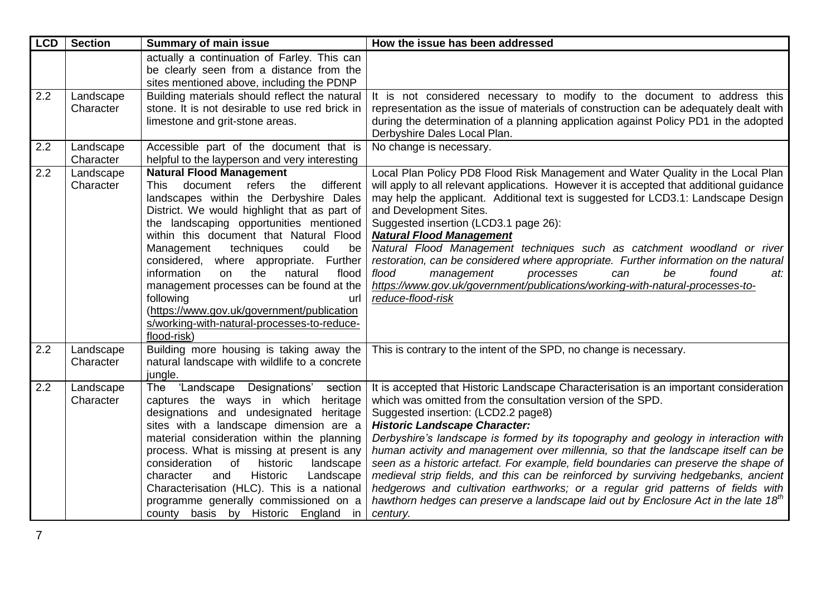| <b>LCD</b> | <b>Section</b>         | <b>Summary of main issue</b>                                                                                                                                                                                                                                                                                                                                                                                                                                                                                                                                                        | How the issue has been addressed                                                                                                                                                                                                                                                                                                                                                                                                                                                                                                                                                                                                                                                                                                                                                               |
|------------|------------------------|-------------------------------------------------------------------------------------------------------------------------------------------------------------------------------------------------------------------------------------------------------------------------------------------------------------------------------------------------------------------------------------------------------------------------------------------------------------------------------------------------------------------------------------------------------------------------------------|------------------------------------------------------------------------------------------------------------------------------------------------------------------------------------------------------------------------------------------------------------------------------------------------------------------------------------------------------------------------------------------------------------------------------------------------------------------------------------------------------------------------------------------------------------------------------------------------------------------------------------------------------------------------------------------------------------------------------------------------------------------------------------------------|
|            |                        | actually a continuation of Farley. This can<br>be clearly seen from a distance from the<br>sites mentioned above, including the PDNP                                                                                                                                                                                                                                                                                                                                                                                                                                                |                                                                                                                                                                                                                                                                                                                                                                                                                                                                                                                                                                                                                                                                                                                                                                                                |
| 2.2        | Landscape<br>Character | Building materials should reflect the natural<br>stone. It is not desirable to use red brick in<br>limestone and grit-stone areas.                                                                                                                                                                                                                                                                                                                                                                                                                                                  | It is not considered necessary to modify to the document to address this<br>representation as the issue of materials of construction can be adequately dealt with<br>during the determination of a planning application against Policy PD1 in the adopted<br>Derbyshire Dales Local Plan.                                                                                                                                                                                                                                                                                                                                                                                                                                                                                                      |
| 2.2        | Landscape<br>Character | Accessible part of the document that is<br>helpful to the layperson and very interesting                                                                                                                                                                                                                                                                                                                                                                                                                                                                                            | No change is necessary.                                                                                                                                                                                                                                                                                                                                                                                                                                                                                                                                                                                                                                                                                                                                                                        |
| 2.2        | Landscape<br>Character | <b>Natural Flood Management</b><br>document refers the<br>different<br><b>This</b><br>landscapes within the Derbyshire Dales<br>District. We would highlight that as part of<br>the landscaping opportunities mentioned<br>within this document that Natural Flood<br>could<br>Management<br>techniques<br>be<br>considered, where appropriate. Further<br>information<br>the<br>flood<br>natural<br>on<br>management processes can be found at the<br>following<br>url<br>(https://www.gov.uk/government/publication<br>s/working-with-natural-processes-to-reduce-<br>flood-risk) | Local Plan Policy PD8 Flood Risk Management and Water Quality in the Local Plan<br>will apply to all relevant applications. However it is accepted that additional guidance<br>may help the applicant. Additional text is suggested for LCD3.1: Landscape Design<br>and Development Sites.<br>Suggested insertion (LCD3.1 page 26):<br><b>Natural Flood Management</b><br>Natural Flood Management techniques such as catchment woodland or river<br>restoration, can be considered where appropriate. Further information on the natural<br>flood<br>be<br>management<br>found<br>processes<br>can<br>at:<br>https://www.gov.uk/government/publications/working-with-natural-processes-to-<br>reduce-flood-risk                                                                               |
| 2.2        | Landscape<br>Character | Building more housing is taking away the<br>natural landscape with wildlife to a concrete<br>jungle.                                                                                                                                                                                                                                                                                                                                                                                                                                                                                | This is contrary to the intent of the SPD, no change is necessary.                                                                                                                                                                                                                                                                                                                                                                                                                                                                                                                                                                                                                                                                                                                             |
| 2.2        | Landscape<br>Character | Designations'<br>'Landscape<br>section<br>The<br>captures the ways in which<br>heritage<br>designations and undesignated<br>heritage<br>sites with a landscape dimension are a<br>material consideration within the planning<br>process. What is missing at present is any<br>consideration<br>of<br>historic<br>landscape<br>Historic<br>character<br>and<br>Landscape<br>Characterisation (HLC). This is a national<br>programme generally commissioned on a<br>county basis by Historic England in                                                                               | It is accepted that Historic Landscape Characterisation is an important consideration<br>which was omitted from the consultation version of the SPD.<br>Suggested insertion: (LCD2.2 page8)<br><b>Historic Landscape Character:</b><br>Derbyshire's landscape is formed by its topography and geology in interaction with<br>human activity and management over millennia, so that the landscape itself can be<br>seen as a historic artefact. For example, field boundaries can preserve the shape of<br>medieval strip fields, and this can be reinforced by surviving hedgebanks, ancient<br>hedgerows and cultivation earthworks; or a regular grid patterns of fields with<br>hawthorn hedges can preserve a landscape laid out by Enclosure Act in the late 18 <sup>th</sup><br>century. |

7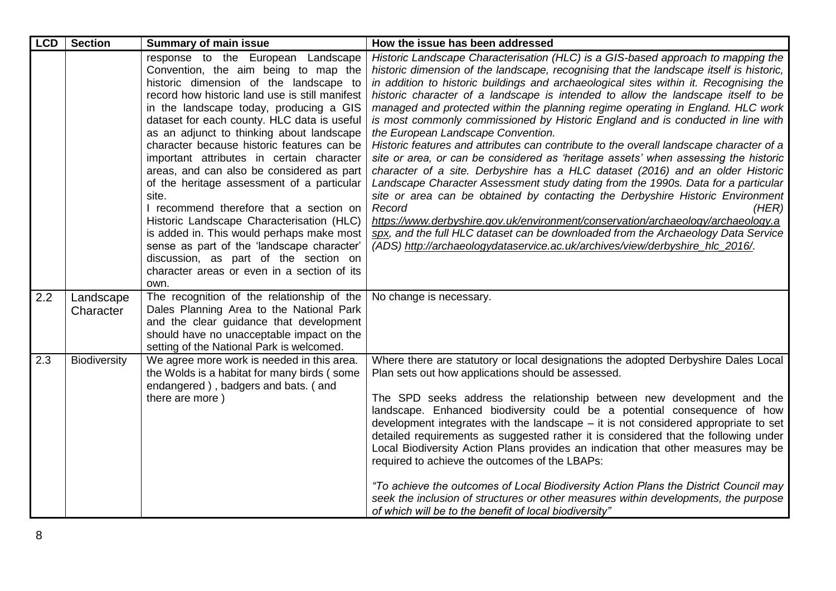| <b>LCD</b> | <b>Section</b>         | <b>Summary of main issue</b>                                                                                                                                                                                                                                                                                                                                                                                                                                                                                                                                                                                                                                                                                                                                                                    | How the issue has been addressed                                                                                                                                                                                                                                                                                                                                                                                                                                                                                                                                                                                                                                                                                                                                                                                                                                                                                                                                                                                                                                                                                                                                                                                                                                                              |
|------------|------------------------|-------------------------------------------------------------------------------------------------------------------------------------------------------------------------------------------------------------------------------------------------------------------------------------------------------------------------------------------------------------------------------------------------------------------------------------------------------------------------------------------------------------------------------------------------------------------------------------------------------------------------------------------------------------------------------------------------------------------------------------------------------------------------------------------------|-----------------------------------------------------------------------------------------------------------------------------------------------------------------------------------------------------------------------------------------------------------------------------------------------------------------------------------------------------------------------------------------------------------------------------------------------------------------------------------------------------------------------------------------------------------------------------------------------------------------------------------------------------------------------------------------------------------------------------------------------------------------------------------------------------------------------------------------------------------------------------------------------------------------------------------------------------------------------------------------------------------------------------------------------------------------------------------------------------------------------------------------------------------------------------------------------------------------------------------------------------------------------------------------------|
|            |                        | response to the European Landscape<br>Convention, the aim being to map the<br>historic dimension of the landscape to<br>record how historic land use is still manifest<br>in the landscape today, producing a GIS<br>dataset for each county. HLC data is useful<br>as an adjunct to thinking about landscape<br>character because historic features can be<br>important attributes in certain character<br>areas, and can also be considered as part<br>of the heritage assessment of a particular<br>site.<br>I recommend therefore that a section on<br>Historic Landscape Characterisation (HLC)<br>is added in. This would perhaps make most<br>sense as part of the 'landscape character'<br>discussion, as part of the section on<br>character areas or even in a section of its<br>own. | Historic Landscape Characterisation (HLC) is a GIS-based approach to mapping the<br>historic dimension of the landscape, recognising that the landscape itself is historic,<br>in addition to historic buildings and archaeological sites within it. Recognising the<br>historic character of a landscape is intended to allow the landscape itself to be<br>managed and protected within the planning regime operating in England. HLC work<br>is most commonly commissioned by Historic England and is conducted in line with<br>the European Landscape Convention.<br>Historic features and attributes can contribute to the overall landscape character of a<br>site or area, or can be considered as 'heritage assets' when assessing the historic<br>character of a site. Derbyshire has a HLC dataset (2016) and an older Historic<br>Landscape Character Assessment study dating from the 1990s. Data for a particular<br>site or area can be obtained by contacting the Derbyshire Historic Environment<br>Record<br>(HER)<br>https://www.derbyshire.gov.uk/environment/conservation/archaeology/archaeology.a<br>spx, and the full HLC dataset can be downloaded from the Archaeology Data Service<br>(ADS) http://archaeologydataservice.ac.uk/archives/view/derbyshire_hlc_2016/. |
| 2.2        | Landscape<br>Character | The recognition of the relationship of the<br>Dales Planning Area to the National Park<br>and the clear guidance that development<br>should have no unacceptable impact on the<br>setting of the National Park is welcomed.                                                                                                                                                                                                                                                                                                                                                                                                                                                                                                                                                                     | No change is necessary.                                                                                                                                                                                                                                                                                                                                                                                                                                                                                                                                                                                                                                                                                                                                                                                                                                                                                                                                                                                                                                                                                                                                                                                                                                                                       |
| 2.3        | Biodiversity           | We agree more work is needed in this area.<br>the Wolds is a habitat for many birds (some<br>endangered), badgers and bats. (and<br>there are more)                                                                                                                                                                                                                                                                                                                                                                                                                                                                                                                                                                                                                                             | Where there are statutory or local designations the adopted Derbyshire Dales Local<br>Plan sets out how applications should be assessed.<br>The SPD seeks address the relationship between new development and the<br>landscape. Enhanced biodiversity could be a potential consequence of how<br>development integrates with the landscape $-$ it is not considered appropriate to set<br>detailed requirements as suggested rather it is considered that the following under<br>Local Biodiversity Action Plans provides an indication that other measures may be<br>required to achieve the outcomes of the LBAPs:<br>"To achieve the outcomes of Local Biodiversity Action Plans the District Council may<br>seek the inclusion of structures or other measures within developments, the purpose<br>of which will be to the benefit of local biodiversity"                                                                                                                                                                                                                                                                                                                                                                                                                                |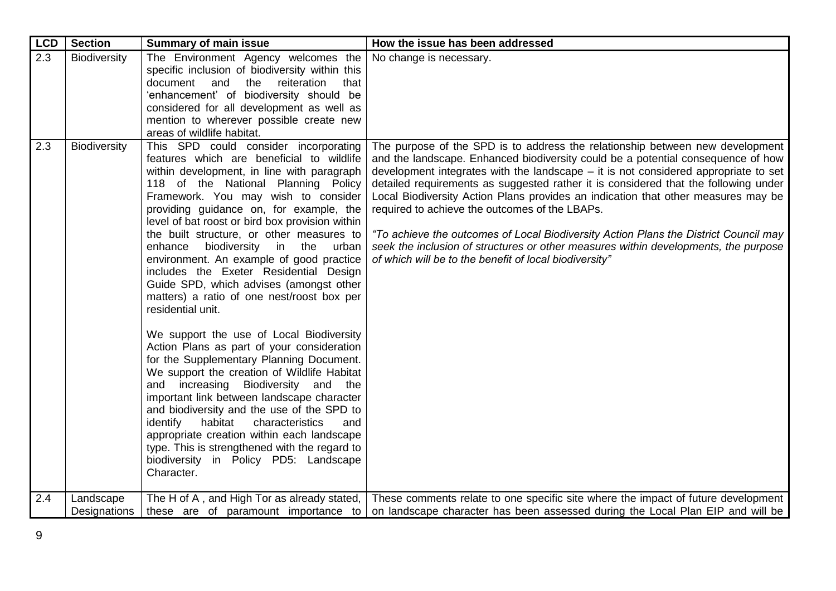| <b>LCD</b> | <b>Section</b>      | <b>Summary of main issue</b>                                                                                                                                                                                                                                                                                                                                                                                                                                                                                                                                                                                                                                                                                                                                                                                                                                                                                                                                                                                                                                                                                                                     | How the issue has been addressed                                                                                                                                                                                                                                                                                                                                                                                                                                                                                                                                                                                                                                                                                                  |
|------------|---------------------|--------------------------------------------------------------------------------------------------------------------------------------------------------------------------------------------------------------------------------------------------------------------------------------------------------------------------------------------------------------------------------------------------------------------------------------------------------------------------------------------------------------------------------------------------------------------------------------------------------------------------------------------------------------------------------------------------------------------------------------------------------------------------------------------------------------------------------------------------------------------------------------------------------------------------------------------------------------------------------------------------------------------------------------------------------------------------------------------------------------------------------------------------|-----------------------------------------------------------------------------------------------------------------------------------------------------------------------------------------------------------------------------------------------------------------------------------------------------------------------------------------------------------------------------------------------------------------------------------------------------------------------------------------------------------------------------------------------------------------------------------------------------------------------------------------------------------------------------------------------------------------------------------|
| 2.3        | Biodiversity        | The Environment Agency welcomes the<br>specific inclusion of biodiversity within this<br>document<br>reiteration<br>and<br>the<br>that<br>'enhancement' of biodiversity should be<br>considered for all development as well as<br>mention to wherever possible create new<br>areas of wildlife habitat.                                                                                                                                                                                                                                                                                                                                                                                                                                                                                                                                                                                                                                                                                                                                                                                                                                          | No change is necessary.                                                                                                                                                                                                                                                                                                                                                                                                                                                                                                                                                                                                                                                                                                           |
| 2.3        | <b>Biodiversity</b> | This SPD could consider incorporating<br>features which are beneficial to wildlife<br>within development, in line with paragraph<br>118 of the National Planning Policy<br>Framework. You may wish to consider<br>providing guidance on, for example, the<br>level of bat roost or bird box provision within<br>the built structure, or other measures to<br>biodiversity in the<br>enhance<br>urban<br>environment. An example of good practice<br>includes the Exeter Residential Design<br>Guide SPD, which advises (amongst other<br>matters) a ratio of one nest/roost box per<br>residential unit.<br>We support the use of Local Biodiversity<br>Action Plans as part of your consideration<br>for the Supplementary Planning Document.<br>We support the creation of Wildlife Habitat<br>increasing<br>Biodiversity<br>and the<br>and<br>important link between landscape character<br>and biodiversity and the use of the SPD to<br>identify<br>habitat<br>characteristics<br>and<br>appropriate creation within each landscape<br>type. This is strengthened with the regard to<br>biodiversity in Policy PD5: Landscape<br>Character. | The purpose of the SPD is to address the relationship between new development<br>and the landscape. Enhanced biodiversity could be a potential consequence of how<br>development integrates with the landscape $-$ it is not considered appropriate to set<br>detailed requirements as suggested rather it is considered that the following under<br>Local Biodiversity Action Plans provides an indication that other measures may be<br>required to achieve the outcomes of the LBAPs.<br>"To achieve the outcomes of Local Biodiversity Action Plans the District Council may<br>seek the inclusion of structures or other measures within developments, the purpose<br>of which will be to the benefit of local biodiversity" |
| 2.4        | Landscape           | The H of A, and High Tor as already stated,                                                                                                                                                                                                                                                                                                                                                                                                                                                                                                                                                                                                                                                                                                                                                                                                                                                                                                                                                                                                                                                                                                      | These comments relate to one specific site where the impact of future development                                                                                                                                                                                                                                                                                                                                                                                                                                                                                                                                                                                                                                                 |
|            | Designations        | these are of paramount importance to                                                                                                                                                                                                                                                                                                                                                                                                                                                                                                                                                                                                                                                                                                                                                                                                                                                                                                                                                                                                                                                                                                             | on landscape character has been assessed during the Local Plan EIP and will be                                                                                                                                                                                                                                                                                                                                                                                                                                                                                                                                                                                                                                                    |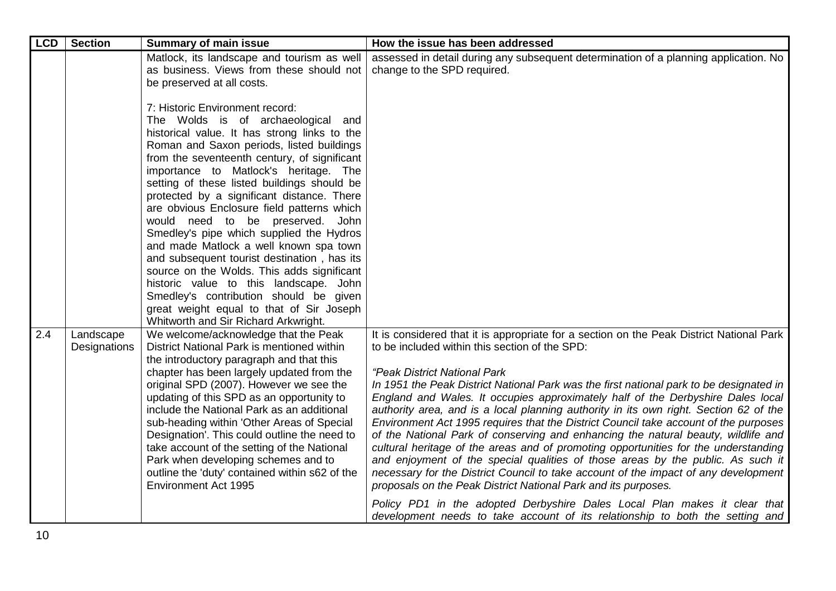| <b>LCD</b> | <b>Section</b>            | <b>Summary of main issue</b>                                                                                                                                                                                                                                                                                                                                                                                                                                                                                                                                                                                                                                                                                                                                                                                | How the issue has been addressed                                                                                                                                                                                                                                                                                                                                                                                                                                                                                                                                                                                                                                                                                                                                                                                                                                                                                                                                                                                                                                                                                                |
|------------|---------------------------|-------------------------------------------------------------------------------------------------------------------------------------------------------------------------------------------------------------------------------------------------------------------------------------------------------------------------------------------------------------------------------------------------------------------------------------------------------------------------------------------------------------------------------------------------------------------------------------------------------------------------------------------------------------------------------------------------------------------------------------------------------------------------------------------------------------|---------------------------------------------------------------------------------------------------------------------------------------------------------------------------------------------------------------------------------------------------------------------------------------------------------------------------------------------------------------------------------------------------------------------------------------------------------------------------------------------------------------------------------------------------------------------------------------------------------------------------------------------------------------------------------------------------------------------------------------------------------------------------------------------------------------------------------------------------------------------------------------------------------------------------------------------------------------------------------------------------------------------------------------------------------------------------------------------------------------------------------|
|            |                           | Matlock, its landscape and tourism as well<br>as business. Views from these should not<br>be preserved at all costs.                                                                                                                                                                                                                                                                                                                                                                                                                                                                                                                                                                                                                                                                                        | assessed in detail during any subsequent determination of a planning application. No<br>change to the SPD required.                                                                                                                                                                                                                                                                                                                                                                                                                                                                                                                                                                                                                                                                                                                                                                                                                                                                                                                                                                                                             |
|            |                           | 7: Historic Environment record:<br>The Wolds is of archaeological<br>and<br>historical value. It has strong links to the<br>Roman and Saxon periods, listed buildings<br>from the seventeenth century, of significant<br>importance to Matlock's heritage. The<br>setting of these listed buildings should be<br>protected by a significant distance. There<br>are obvious Enclosure field patterns which<br>would need to be preserved.<br>John<br>Smedley's pipe which supplied the Hydros<br>and made Matlock a well known spa town<br>and subsequent tourist destination, has its<br>source on the Wolds. This adds significant<br>historic value to this landscape. John<br>Smedley's contribution should be given<br>great weight equal to that of Sir Joseph<br>Whitworth and Sir Richard Arkwright. |                                                                                                                                                                                                                                                                                                                                                                                                                                                                                                                                                                                                                                                                                                                                                                                                                                                                                                                                                                                                                                                                                                                                 |
| 2.4        | Landscape<br>Designations | We welcome/acknowledge that the Peak<br>District National Park is mentioned within<br>the introductory paragraph and that this<br>chapter has been largely updated from the<br>original SPD (2007). However we see the<br>updating of this SPD as an opportunity to<br>include the National Park as an additional<br>sub-heading within 'Other Areas of Special<br>Designation'. This could outline the need to<br>take account of the setting of the National<br>Park when developing schemes and to<br>outline the 'duty' contained within s62 of the<br><b>Environment Act 1995</b>                                                                                                                                                                                                                      | It is considered that it is appropriate for a section on the Peak District National Park<br>to be included within this section of the SPD:<br>"Peak District National Park<br>In 1951 the Peak District National Park was the first national park to be designated in<br>England and Wales. It occupies approximately half of the Derbyshire Dales local<br>authority area, and is a local planning authority in its own right. Section 62 of the<br>Environment Act 1995 requires that the District Council take account of the purposes<br>of the National Park of conserving and enhancing the natural beauty, wildlife and<br>cultural heritage of the areas and of promoting opportunities for the understanding<br>and enjoyment of the special qualities of those areas by the public. As such it<br>necessary for the District Council to take account of the impact of any development<br>proposals on the Peak District National Park and its purposes.<br>Policy PD1 in the adopted Derbyshire Dales Local Plan makes it clear that<br>development needs to take account of its relationship to both the setting and |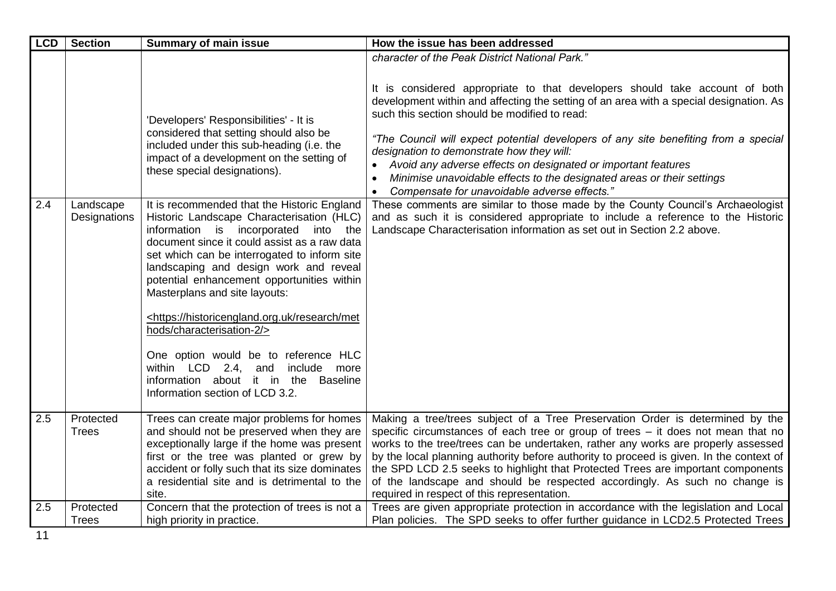| <b>LCD</b> | <b>Section</b>            | <b>Summary of main issue</b>                                                                                                                                                                                                                                                                                                                                                                                                                                                                                                                                                                                                                                                                                                                                                                                                                   | How the issue has been addressed                                                                                                                                                                                                                                                                                                                                                                                                                                                                                                                                                                                                                                                                                                                                                                                                                          |
|------------|---------------------------|------------------------------------------------------------------------------------------------------------------------------------------------------------------------------------------------------------------------------------------------------------------------------------------------------------------------------------------------------------------------------------------------------------------------------------------------------------------------------------------------------------------------------------------------------------------------------------------------------------------------------------------------------------------------------------------------------------------------------------------------------------------------------------------------------------------------------------------------|-----------------------------------------------------------------------------------------------------------------------------------------------------------------------------------------------------------------------------------------------------------------------------------------------------------------------------------------------------------------------------------------------------------------------------------------------------------------------------------------------------------------------------------------------------------------------------------------------------------------------------------------------------------------------------------------------------------------------------------------------------------------------------------------------------------------------------------------------------------|
| 2.4        | Landscape<br>Designations | 'Developers' Responsibilities' - It is<br>considered that setting should also be<br>included under this sub-heading (i.e. the<br>impact of a development on the setting of<br>these special designations).<br>It is recommended that the Historic England<br>Historic Landscape Characterisation (HLC)<br>information is incorporated<br>into the<br>document since it could assist as a raw data<br>set which can be interrogated to inform site<br>landscaping and design work and reveal<br>potential enhancement opportunities within<br>Masterplans and site layouts:<br><https: historicengland.org.uk="" met<br="" research="">hods/characterisation-2/&gt;<br/>One option would be to reference HLC<br/>within LCD 2.4, and<br/>include<br/>more<br/>information about it in the Baseline<br/>Information section of LCD 3.2.</https:> | character of the Peak District National Park."<br>It is considered appropriate to that developers should take account of both<br>development within and affecting the setting of an area with a special designation. As<br>such this section should be modified to read:<br>"The Council will expect potential developers of any site benefiting from a special<br>designation to demonstrate how they will:<br>• Avoid any adverse effects on designated or important features<br>Minimise unavoidable effects to the designated areas or their settings<br>Compensate for unavoidable adverse effects."<br>These comments are similar to those made by the County Council's Archaeologist<br>and as such it is considered appropriate to include a reference to the Historic<br>Landscape Characterisation information as set out in Section 2.2 above. |
| 2.5        | Protected<br><b>Trees</b> | Trees can create major problems for homes<br>and should not be preserved when they are<br>exceptionally large if the home was present<br>first or the tree was planted or grew by<br>accident or folly such that its size dominates<br>a residential site and is detrimental to the<br>site.                                                                                                                                                                                                                                                                                                                                                                                                                                                                                                                                                   | Making a tree/trees subject of a Tree Preservation Order is determined by the<br>specific circumstances of each tree or group of trees - it does not mean that no<br>works to the tree/trees can be undertaken, rather any works are properly assessed<br>by the local planning authority before authority to proceed is given. In the context of<br>the SPD LCD 2.5 seeks to highlight that Protected Trees are important components<br>of the landscape and should be respected accordingly. As such no change is<br>required in respect of this representation.                                                                                                                                                                                                                                                                                        |
| 2.5        | Protected                 | Concern that the protection of trees is not a                                                                                                                                                                                                                                                                                                                                                                                                                                                                                                                                                                                                                                                                                                                                                                                                  | Trees are given appropriate protection in accordance with the legislation and Local                                                                                                                                                                                                                                                                                                                                                                                                                                                                                                                                                                                                                                                                                                                                                                       |
|            | <b>Trees</b>              | high priority in practice.                                                                                                                                                                                                                                                                                                                                                                                                                                                                                                                                                                                                                                                                                                                                                                                                                     | Plan policies. The SPD seeks to offer further guidance in LCD2.5 Protected Trees                                                                                                                                                                                                                                                                                                                                                                                                                                                                                                                                                                                                                                                                                                                                                                          |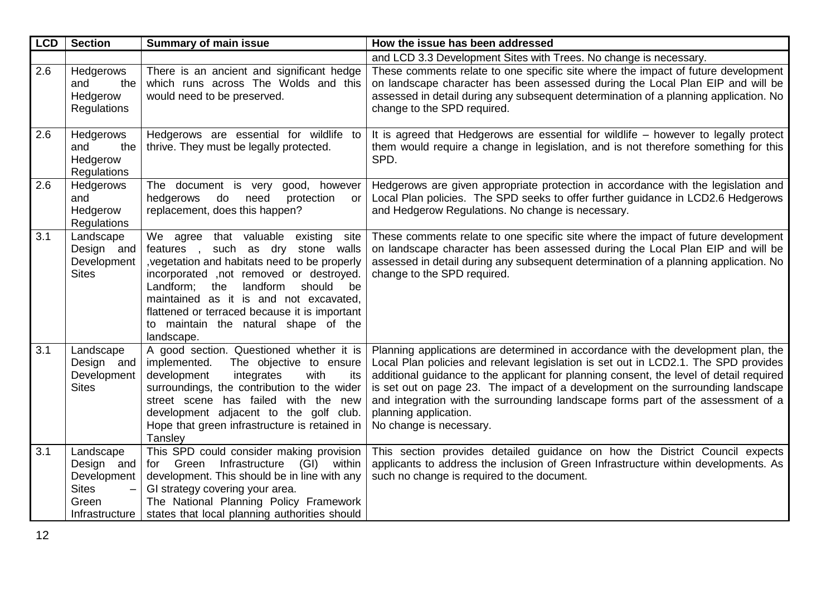| <b>LCD</b> | <b>Section</b>                                                                                                | <b>Summary of main issue</b>                                                                                                                                                                                                                                                                                                                                               | How the issue has been addressed                                                                                                                                                                                                                                                                                                                                                                                                                                                               |
|------------|---------------------------------------------------------------------------------------------------------------|----------------------------------------------------------------------------------------------------------------------------------------------------------------------------------------------------------------------------------------------------------------------------------------------------------------------------------------------------------------------------|------------------------------------------------------------------------------------------------------------------------------------------------------------------------------------------------------------------------------------------------------------------------------------------------------------------------------------------------------------------------------------------------------------------------------------------------------------------------------------------------|
|            |                                                                                                               |                                                                                                                                                                                                                                                                                                                                                                            | and LCD 3.3 Development Sites with Trees. No change is necessary.                                                                                                                                                                                                                                                                                                                                                                                                                              |
| 2.6        | Hedgerows<br>and<br>the<br>Hedgerow<br>Regulations                                                            | There is an ancient and significant hedge<br>which runs across The Wolds and this<br>would need to be preserved.                                                                                                                                                                                                                                                           | These comments relate to one specific site where the impact of future development<br>on landscape character has been assessed during the Local Plan EIP and will be<br>assessed in detail during any subsequent determination of a planning application. No<br>change to the SPD required.                                                                                                                                                                                                     |
| 2.6        | Hedgerows<br>and<br>the<br>Hedgerow<br>Regulations                                                            | Hedgerows are essential for wildlife to<br>thrive. They must be legally protected.                                                                                                                                                                                                                                                                                         | It is agreed that Hedgerows are essential for wildlife – however to legally protect<br>them would require a change in legislation, and is not therefore something for this<br>SPD.                                                                                                                                                                                                                                                                                                             |
| 2.6        | Hedgerows<br>and<br>Hedgerow<br>Regulations                                                                   | The document is very<br>good, however<br>hedgerows<br>do<br>need<br>protection<br>or<br>replacement, does this happen?                                                                                                                                                                                                                                                     | Hedgerows are given appropriate protection in accordance with the legislation and<br>Local Plan policies. The SPD seeks to offer further guidance in LCD2.6 Hedgerows<br>and Hedgerow Regulations. No change is necessary.                                                                                                                                                                                                                                                                     |
| 3.1        | Landscape<br>Design and<br>Development<br><b>Sites</b>                                                        | We agree that valuable existing<br>site<br>features, such as dry stone walls<br>, vegetation and habitats need to be properly<br>incorporated , not removed or destroyed.<br>Landform;<br>the<br>landform<br>should<br>be<br>maintained as it is and not excavated,<br>flattened or terraced because it is important<br>to maintain the natural shape of the<br>landscape. | These comments relate to one specific site where the impact of future development<br>on landscape character has been assessed during the Local Plan EIP and will be<br>assessed in detail during any subsequent determination of a planning application. No<br>change to the SPD required.                                                                                                                                                                                                     |
| 3.1        | Landscape<br>Design and<br>Development<br><b>Sites</b>                                                        | A good section. Questioned whether it is<br>implemented.<br>The objective to ensure<br>development<br>integrates<br>with<br>its<br>surroundings, the contribution to the wider<br>street scene has failed with the new<br>development adjacent to the golf club.<br>Hope that green infrastructure is retained in<br>Tansley                                               | Planning applications are determined in accordance with the development plan, the<br>Local Plan policies and relevant legislation is set out in LCD2.1. The SPD provides<br>additional guidance to the applicant for planning consent, the level of detail required<br>is set out on page 23. The impact of a development on the surrounding landscape<br>and integration with the surrounding landscape forms part of the assessment of a<br>planning application.<br>No change is necessary. |
| 3.1        | Landscape<br>Design and<br>Development<br><b>Sites</b><br>$\overline{\phantom{0}}$<br>Green<br>Infrastructure | This SPD could consider making provision<br>Infrastructure<br>for Green<br>(GI) within<br>development. This should be in line with any<br>GI strategy covering your area.<br>The National Planning Policy Framework<br>states that local planning authorities should                                                                                                       | This section provides detailed guidance on how the District Council expects<br>applicants to address the inclusion of Green Infrastructure within developments. As<br>such no change is required to the document.                                                                                                                                                                                                                                                                              |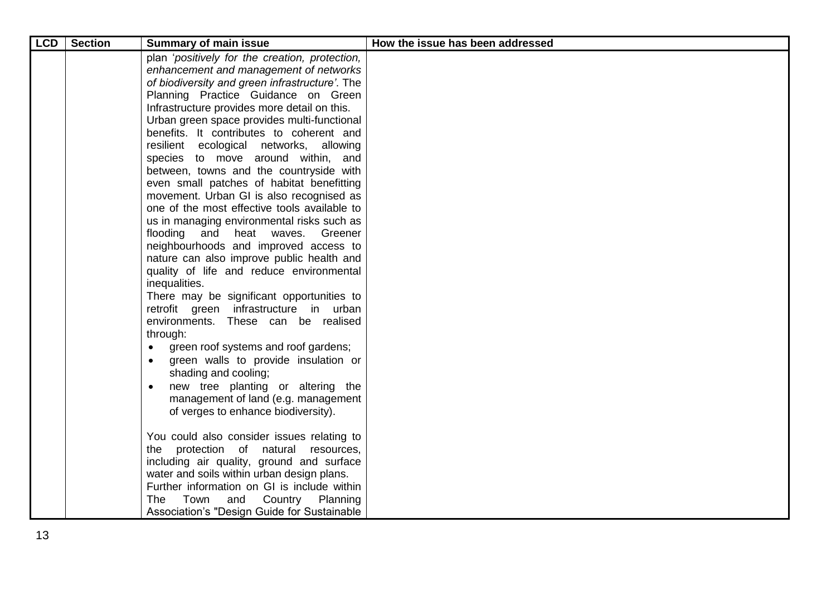| <b>LCD</b> | <b>Section</b> | <b>Summary of main issue</b>                   | How the issue has been addressed |
|------------|----------------|------------------------------------------------|----------------------------------|
|            |                | plan 'positively for the creation, protection, |                                  |
|            |                | enhancement and management of networks         |                                  |
|            |                | of biodiversity and green infrastructure'. The |                                  |
|            |                | Planning Practice Guidance on Green            |                                  |
|            |                | Infrastructure provides more detail on this.   |                                  |
|            |                | Urban green space provides multi-functional    |                                  |
|            |                | benefits. It contributes to coherent and       |                                  |
|            |                | resilient ecological networks, allowing        |                                  |
|            |                | species to move around within, and             |                                  |
|            |                | between, towns and the countryside with        |                                  |
|            |                | even small patches of habitat benefitting      |                                  |
|            |                | movement. Urban GI is also recognised as       |                                  |
|            |                | one of the most effective tools available to   |                                  |
|            |                | us in managing environmental risks such as     |                                  |
|            |                | flooding and heat waves. Greener               |                                  |
|            |                | neighbourhoods and improved access to          |                                  |
|            |                | nature can also improve public health and      |                                  |
|            |                | quality of life and reduce environmental       |                                  |
|            |                | inequalities.                                  |                                  |
|            |                | There may be significant opportunities to      |                                  |
|            |                | retrofit green infrastructure in urban         |                                  |
|            |                | environments. These can be realised            |                                  |
|            |                | through:                                       |                                  |
|            |                | green roof systems and roof gardens;           |                                  |
|            |                | green walls to provide insulation or           |                                  |
|            |                | shading and cooling;                           |                                  |
|            |                | new tree planting or altering the              |                                  |
|            |                | management of land (e.g. management            |                                  |
|            |                | of verges to enhance biodiversity).            |                                  |
|            |                | You could also consider issues relating to     |                                  |
|            |                | the protection of natural resources,           |                                  |
|            |                | including air quality, ground and surface      |                                  |
|            |                | water and soils within urban design plans.     |                                  |
|            |                | Further information on GI is include within    |                                  |
|            |                | Town<br>and<br>Country Planning<br>The         |                                  |
|            |                | Association's "Design Guide for Sustainable    |                                  |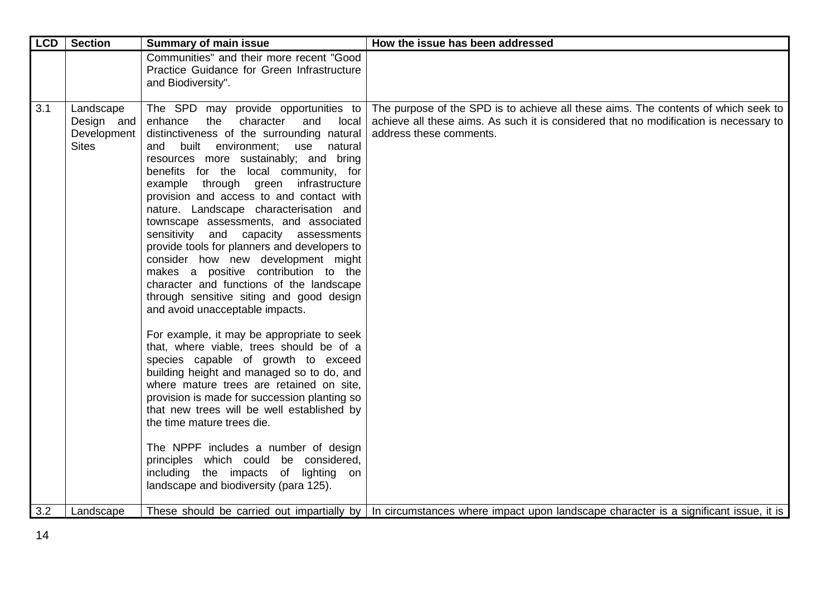| <b>LCD</b> | <b>Section</b>                                         | <b>Summary of main issue</b>                                                                                                                                                                                                                                                                                                                                                                                                                                                                                                                                                                                                                                                                                                                                                                                                                                                                                                                                                                                                                                                                                                                                                                                                                                        | How the issue has been addressed                                                                                                                                                                       |
|------------|--------------------------------------------------------|---------------------------------------------------------------------------------------------------------------------------------------------------------------------------------------------------------------------------------------------------------------------------------------------------------------------------------------------------------------------------------------------------------------------------------------------------------------------------------------------------------------------------------------------------------------------------------------------------------------------------------------------------------------------------------------------------------------------------------------------------------------------------------------------------------------------------------------------------------------------------------------------------------------------------------------------------------------------------------------------------------------------------------------------------------------------------------------------------------------------------------------------------------------------------------------------------------------------------------------------------------------------|--------------------------------------------------------------------------------------------------------------------------------------------------------------------------------------------------------|
|            |                                                        | Communities" and their more recent "Good<br>Practice Guidance for Green Infrastructure<br>and Biodiversity".                                                                                                                                                                                                                                                                                                                                                                                                                                                                                                                                                                                                                                                                                                                                                                                                                                                                                                                                                                                                                                                                                                                                                        |                                                                                                                                                                                                        |
| 3.1        | Landscape<br>Design and<br>Development<br><b>Sites</b> | The SPD may provide opportunities to<br>enhance<br>character<br>the<br>and<br>local<br>distinctiveness of the surrounding natural<br>built<br>environment;<br>use natural<br>and<br>resources more sustainably; and bring<br>benefits for the local community, for<br>example through green infrastructure<br>provision and access to and contact with<br>nature. Landscape characterisation and<br>townscape assessments, and associated<br>sensitivity and capacity assessments<br>provide tools for planners and developers to<br>consider how new development might<br>makes a positive contribution to the<br>character and functions of the landscape<br>through sensitive siting and good design<br>and avoid unacceptable impacts.<br>For example, it may be appropriate to seek<br>that, where viable, trees should be of a<br>species capable of growth to exceed<br>building height and managed so to do, and<br>where mature trees are retained on site,<br>provision is made for succession planting so<br>that new trees will be well established by<br>the time mature trees die.<br>The NPPF includes a number of design<br>principles which could be considered,<br>including the impacts of lighting on<br>landscape and biodiversity (para 125). | The purpose of the SPD is to achieve all these aims. The contents of which seek to<br>achieve all these aims. As such it is considered that no modification is necessary to<br>address these comments. |
| 3.2        | Landscape                                              |                                                                                                                                                                                                                                                                                                                                                                                                                                                                                                                                                                                                                                                                                                                                                                                                                                                                                                                                                                                                                                                                                                                                                                                                                                                                     | These should be carried out impartially by   In circumstances where impact upon landscape character is a significant issue, it is                                                                      |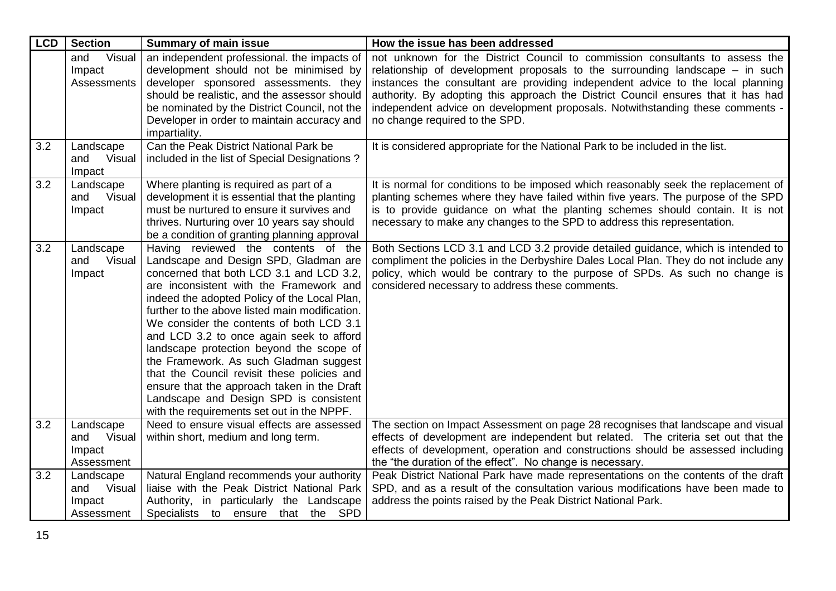| <b>LCD</b> | <b>Section</b>                                     | <b>Summary of main issue</b>                                                                                                                                                                                                                                                                                                                                                                                                                                                                                                                                                                                                              | How the issue has been addressed                                                                                                                                                                                                                                                                                                                                                                                                                          |
|------------|----------------------------------------------------|-------------------------------------------------------------------------------------------------------------------------------------------------------------------------------------------------------------------------------------------------------------------------------------------------------------------------------------------------------------------------------------------------------------------------------------------------------------------------------------------------------------------------------------------------------------------------------------------------------------------------------------------|-----------------------------------------------------------------------------------------------------------------------------------------------------------------------------------------------------------------------------------------------------------------------------------------------------------------------------------------------------------------------------------------------------------------------------------------------------------|
|            | Visual<br>and<br>Impact<br><b>Assessments</b>      | an independent professional. the impacts of<br>development should not be minimised by<br>developer sponsored assessments. they<br>should be realistic, and the assessor should<br>be nominated by the District Council, not the<br>Developer in order to maintain accuracy and<br>impartiality.                                                                                                                                                                                                                                                                                                                                           | not unknown for the District Council to commission consultants to assess the<br>relationship of development proposals to the surrounding landscape $-$ in such<br>instances the consultant are providing independent advice to the local planning<br>authority. By adopting this approach the District Council ensures that it has had<br>independent advice on development proposals. Notwithstanding these comments -<br>no change required to the SPD. |
| 3.2        | Landscape<br>Visual<br>and<br>Impact               | Can the Peak District National Park be<br>included in the list of Special Designations?                                                                                                                                                                                                                                                                                                                                                                                                                                                                                                                                                   | It is considered appropriate for the National Park to be included in the list.                                                                                                                                                                                                                                                                                                                                                                            |
| 3.2        | Landscape<br>Visual<br>and<br>Impact               | Where planting is required as part of a<br>development it is essential that the planting<br>must be nurtured to ensure it survives and<br>thrives. Nurturing over 10 years say should<br>be a condition of granting planning approval                                                                                                                                                                                                                                                                                                                                                                                                     | It is normal for conditions to be imposed which reasonably seek the replacement of<br>planting schemes where they have failed within five years. The purpose of the SPD<br>is to provide guidance on what the planting schemes should contain. It is not<br>necessary to make any changes to the SPD to address this representation.                                                                                                                      |
| 3.2        | Landscape<br>Visual<br>and<br>Impact               | Having reviewed the contents of the<br>Landscape and Design SPD, Gladman are<br>concerned that both LCD 3.1 and LCD 3.2,<br>are inconsistent with the Framework and<br>indeed the adopted Policy of the Local Plan,<br>further to the above listed main modification.<br>We consider the contents of both LCD 3.1<br>and LCD 3.2 to once again seek to afford<br>landscape protection beyond the scope of<br>the Framework. As such Gladman suggest<br>that the Council revisit these policies and<br>ensure that the approach taken in the Draft<br>Landscape and Design SPD is consistent<br>with the requirements set out in the NPPF. | Both Sections LCD 3.1 and LCD 3.2 provide detailed guidance, which is intended to<br>compliment the policies in the Derbyshire Dales Local Plan. They do not include any<br>policy, which would be contrary to the purpose of SPDs. As such no change is<br>considered necessary to address these comments.                                                                                                                                               |
| 3.2        | Landscape<br>Visual<br>and<br>Impact<br>Assessment | Need to ensure visual effects are assessed<br>within short, medium and long term.                                                                                                                                                                                                                                                                                                                                                                                                                                                                                                                                                         | The section on Impact Assessment on page 28 recognises that landscape and visual<br>effects of development are independent but related. The criteria set out that the<br>effects of development, operation and constructions should be assessed including<br>the "the duration of the effect". No change is necessary.                                                                                                                                    |
| 3.2        | Landscape<br>and<br>Visual<br>Impact<br>Assessment | Natural England recommends your authority<br>liaise with the Peak District National Park<br>Authority, in particularly the Landscape<br>Specialists to ensure that the SPD                                                                                                                                                                                                                                                                                                                                                                                                                                                                | Peak District National Park have made representations on the contents of the draft<br>SPD, and as a result of the consultation various modifications have been made to<br>address the points raised by the Peak District National Park.                                                                                                                                                                                                                   |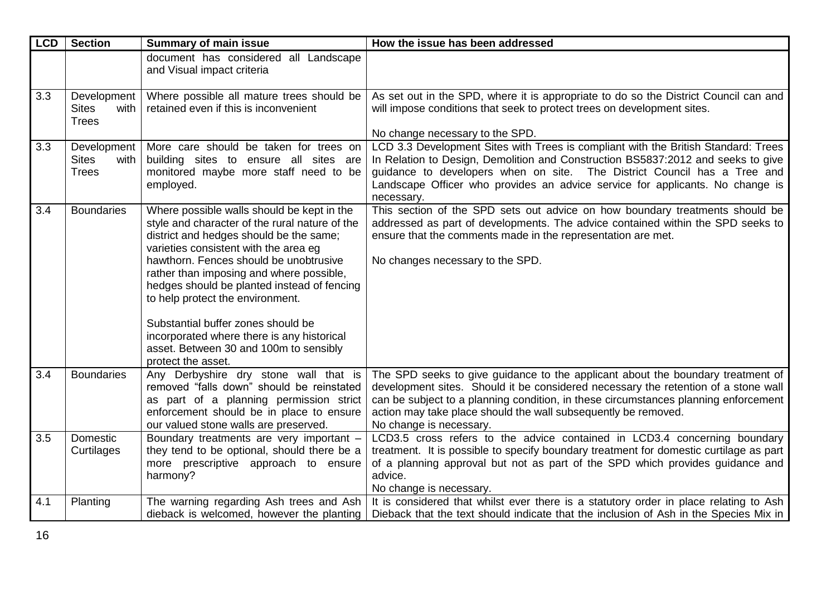| <b>LCD</b> | <b>Section</b>                                      | <b>Summary of main issue</b>                                                                                                                                                                                                                                                                                                                                                                                                                                                                                  | How the issue has been addressed                                                                                                                                                                                                                                                                                                                          |
|------------|-----------------------------------------------------|---------------------------------------------------------------------------------------------------------------------------------------------------------------------------------------------------------------------------------------------------------------------------------------------------------------------------------------------------------------------------------------------------------------------------------------------------------------------------------------------------------------|-----------------------------------------------------------------------------------------------------------------------------------------------------------------------------------------------------------------------------------------------------------------------------------------------------------------------------------------------------------|
|            |                                                     | document has considered all Landscape<br>and Visual impact criteria                                                                                                                                                                                                                                                                                                                                                                                                                                           |                                                                                                                                                                                                                                                                                                                                                           |
| 3.3        | Development<br><b>Sites</b><br>with<br><b>Trees</b> | Where possible all mature trees should be<br>retained even if this is inconvenient                                                                                                                                                                                                                                                                                                                                                                                                                            | As set out in the SPD, where it is appropriate to do so the District Council can and<br>will impose conditions that seek to protect trees on development sites.                                                                                                                                                                                           |
|            |                                                     |                                                                                                                                                                                                                                                                                                                                                                                                                                                                                                               | No change necessary to the SPD.                                                                                                                                                                                                                                                                                                                           |
| 3.3        | Development<br><b>Sites</b><br>with<br><b>Trees</b> | More care should be taken for trees on<br>building sites to ensure all sites are<br>monitored maybe more staff need to be<br>employed.                                                                                                                                                                                                                                                                                                                                                                        | LCD 3.3 Development Sites with Trees is compliant with the British Standard: Trees<br>In Relation to Design, Demolition and Construction BS5837:2012 and seeks to give<br>guidance to developers when on site. The District Council has a Tree and<br>Landscape Officer who provides an advice service for applicants. No change is<br>necessary.         |
| 3.4        | <b>Boundaries</b>                                   | Where possible walls should be kept in the<br>style and character of the rural nature of the<br>district and hedges should be the same;<br>varieties consistent with the area eg<br>hawthorn. Fences should be unobtrusive<br>rather than imposing and where possible,<br>hedges should be planted instead of fencing<br>to help protect the environment.<br>Substantial buffer zones should be<br>incorporated where there is any historical<br>asset. Between 30 and 100m to sensibly<br>protect the asset. | This section of the SPD sets out advice on how boundary treatments should be<br>addressed as part of developments. The advice contained within the SPD seeks to<br>ensure that the comments made in the representation are met.<br>No changes necessary to the SPD.                                                                                       |
| 3.4        | <b>Boundaries</b>                                   | Any Derbyshire dry stone wall that is<br>removed "falls down" should be reinstated<br>as part of a planning permission strict<br>enforcement should be in place to ensure<br>our valued stone walls are preserved.                                                                                                                                                                                                                                                                                            | The SPD seeks to give guidance to the applicant about the boundary treatment of<br>development sites. Should it be considered necessary the retention of a stone wall<br>can be subject to a planning condition, in these circumstances planning enforcement<br>action may take place should the wall subsequently be removed.<br>No change is necessary. |
| 3.5        | Domestic<br>Curtilages                              | Boundary treatments are very important -<br>they tend to be optional, should there be a<br>more prescriptive approach to ensure<br>harmony?                                                                                                                                                                                                                                                                                                                                                                   | LCD3.5 cross refers to the advice contained in LCD3.4 concerning boundary<br>treatment. It is possible to specify boundary treatment for domestic curtilage as part<br>of a planning approval but not as part of the SPD which provides guidance and<br>advice.<br>No change is necessary.                                                                |
| 4.1        | Planting                                            | The warning regarding Ash trees and Ash<br>dieback is welcomed, however the planting                                                                                                                                                                                                                                                                                                                                                                                                                          | It is considered that whilst ever there is a statutory order in place relating to Ash<br>Dieback that the text should indicate that the inclusion of Ash in the Species Mix in                                                                                                                                                                            |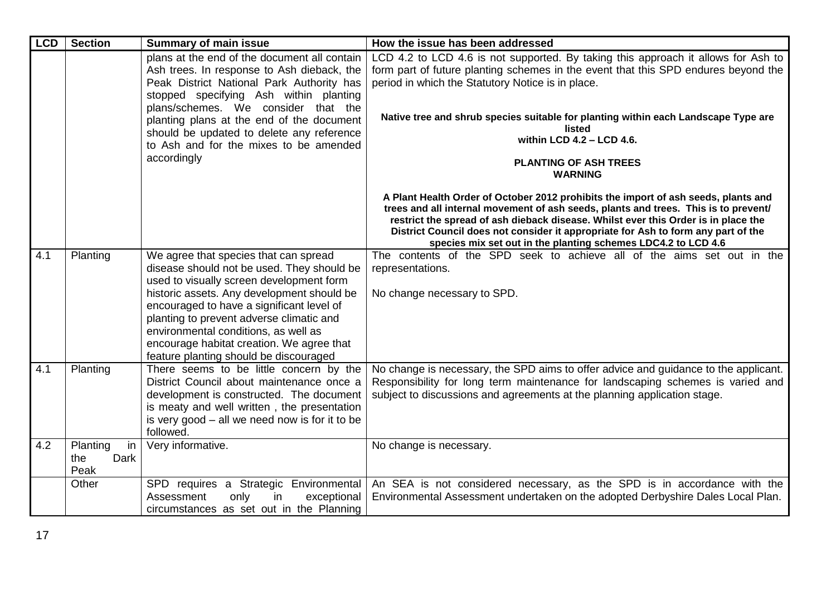| <b>LCD</b> | <b>Section</b>                        | <b>Summary of main issue</b>                                                                                                                                                                                                                                                                                                                                                                          | How the issue has been addressed                                                                                                                                                                                                                                                                                                                                                                                                        |
|------------|---------------------------------------|-------------------------------------------------------------------------------------------------------------------------------------------------------------------------------------------------------------------------------------------------------------------------------------------------------------------------------------------------------------------------------------------------------|-----------------------------------------------------------------------------------------------------------------------------------------------------------------------------------------------------------------------------------------------------------------------------------------------------------------------------------------------------------------------------------------------------------------------------------------|
|            |                                       | plans at the end of the document all contain<br>Ash trees. In response to Ash dieback, the<br>Peak District National Park Authority has<br>stopped specifying Ash within planting<br>plans/schemes. We consider that the<br>planting plans at the end of the document<br>should be updated to delete any reference<br>to Ash and for the mixes to be amended<br>accordingly                           | LCD 4.2 to LCD 4.6 is not supported. By taking this approach it allows for Ash to<br>form part of future planting schemes in the event that this SPD endures beyond the<br>period in which the Statutory Notice is in place.<br>Native tree and shrub species suitable for planting within each Landscape Type are<br>listed<br>within LCD 4.2 - LCD 4.6.<br><b>PLANTING OF ASH TREES</b>                                               |
|            |                                       |                                                                                                                                                                                                                                                                                                                                                                                                       | <b>WARNING</b><br>A Plant Health Order of October 2012 prohibits the import of ash seeds, plants and<br>trees and all internal movement of ash seeds, plants and trees. This is to prevent/<br>restrict the spread of ash dieback disease. Whilst ever this Order is in place the<br>District Council does not consider it appropriate for Ash to form any part of the<br>species mix set out in the planting schemes LDC4.2 to LCD 4.6 |
| 4.1        | Planting                              | We agree that species that can spread<br>disease should not be used. They should be<br>used to visually screen development form<br>historic assets. Any development should be<br>encouraged to have a significant level of<br>planting to prevent adverse climatic and<br>environmental conditions, as well as<br>encourage habitat creation. We agree that<br>feature planting should be discouraged | The contents of the SPD seek to achieve all of the aims set out in the<br>representations.<br>No change necessary to SPD.                                                                                                                                                                                                                                                                                                               |
| 4.1        | Planting                              | There seems to be little concern by the<br>District Council about maintenance once a<br>development is constructed. The document<br>is meaty and well written, the presentation<br>is very good $-$ all we need now is for it to be<br>followed.                                                                                                                                                      | No change is necessary, the SPD aims to offer advice and guidance to the applicant.<br>Responsibility for long term maintenance for landscaping schemes is varied and<br>subject to discussions and agreements at the planning application stage.                                                                                                                                                                                       |
| 4.2        | in<br>Planting<br>Dark<br>the<br>Peak | Very informative.                                                                                                                                                                                                                                                                                                                                                                                     | No change is necessary.                                                                                                                                                                                                                                                                                                                                                                                                                 |
|            | Other                                 | SPD requires a Strategic Environmental<br>only<br>in<br>Assessment<br>exceptional<br>circumstances as set out in the Planning                                                                                                                                                                                                                                                                         | An SEA is not considered necessary, as the SPD is in accordance with the<br>Environmental Assessment undertaken on the adopted Derbyshire Dales Local Plan.                                                                                                                                                                                                                                                                             |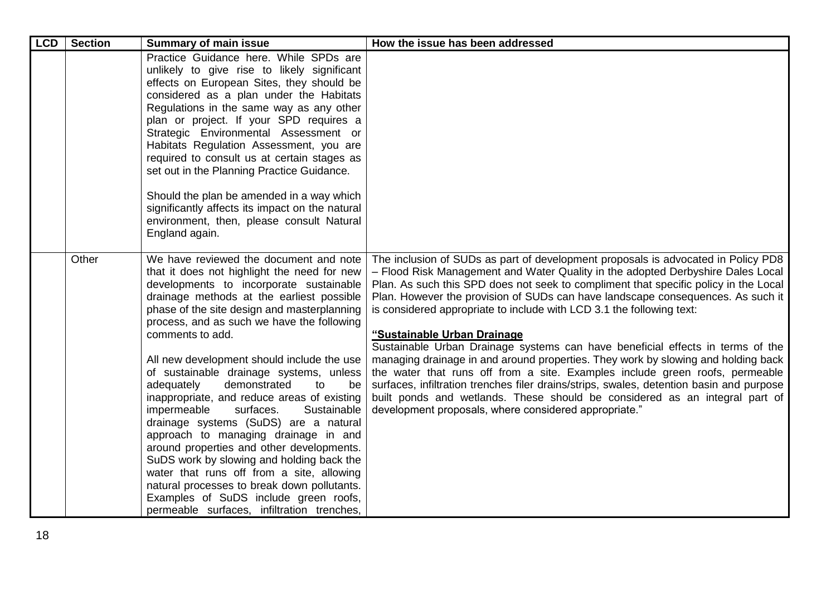| <b>LCD</b> | <b>Section</b> | <b>Summary of main issue</b>                                                                                                                                                                                                                                                                                                                                                                                                                                                                                                                                                                                                                                                                                                                                                                                                                                                              | How the issue has been addressed                                                                                                                                                                                                                                                                                                                                                                                                                                                                                                                                                                                                                                                                                                                                                                                                                                                                                                                   |
|------------|----------------|-------------------------------------------------------------------------------------------------------------------------------------------------------------------------------------------------------------------------------------------------------------------------------------------------------------------------------------------------------------------------------------------------------------------------------------------------------------------------------------------------------------------------------------------------------------------------------------------------------------------------------------------------------------------------------------------------------------------------------------------------------------------------------------------------------------------------------------------------------------------------------------------|----------------------------------------------------------------------------------------------------------------------------------------------------------------------------------------------------------------------------------------------------------------------------------------------------------------------------------------------------------------------------------------------------------------------------------------------------------------------------------------------------------------------------------------------------------------------------------------------------------------------------------------------------------------------------------------------------------------------------------------------------------------------------------------------------------------------------------------------------------------------------------------------------------------------------------------------------|
|            |                | Practice Guidance here. While SPDs are<br>unlikely to give rise to likely significant<br>effects on European Sites, they should be<br>considered as a plan under the Habitats<br>Regulations in the same way as any other<br>plan or project. If your SPD requires a<br>Strategic Environmental Assessment or<br>Habitats Regulation Assessment, you are<br>required to consult us at certain stages as<br>set out in the Planning Practice Guidance.<br>Should the plan be amended in a way which<br>significantly affects its impact on the natural<br>environment, then, please consult Natural<br>England again.                                                                                                                                                                                                                                                                      |                                                                                                                                                                                                                                                                                                                                                                                                                                                                                                                                                                                                                                                                                                                                                                                                                                                                                                                                                    |
|            | Other          | We have reviewed the document and note<br>that it does not highlight the need for new<br>developments to incorporate sustainable<br>drainage methods at the earliest possible<br>phase of the site design and masterplanning<br>process, and as such we have the following<br>comments to add.<br>All new development should include the use<br>of sustainable drainage systems, unless<br>adequately<br>demonstrated<br>be<br>to<br>inappropriate, and reduce areas of existing<br>impermeable<br>surfaces.<br>Sustainable<br>drainage systems (SuDS) are a natural<br>approach to managing drainage in and<br>around properties and other developments.<br>SuDS work by slowing and holding back the<br>water that runs off from a site, allowing<br>natural processes to break down pollutants.<br>Examples of SuDS include green roofs,<br>permeable surfaces, infiltration trenches, | The inclusion of SUDs as part of development proposals is advocated in Policy PD8<br>- Flood Risk Management and Water Quality in the adopted Derbyshire Dales Local<br>Plan. As such this SPD does not seek to compliment that specific policy in the Local<br>Plan. However the provision of SUDs can have landscape consequences. As such it<br>is considered appropriate to include with LCD 3.1 the following text:<br>"Sustainable Urban Drainage<br>Sustainable Urban Drainage systems can have beneficial effects in terms of the<br>managing drainage in and around properties. They work by slowing and holding back<br>the water that runs off from a site. Examples include green roofs, permeable<br>surfaces, infiltration trenches filer drains/strips, swales, detention basin and purpose<br>built ponds and wetlands. These should be considered as an integral part of<br>development proposals, where considered appropriate." |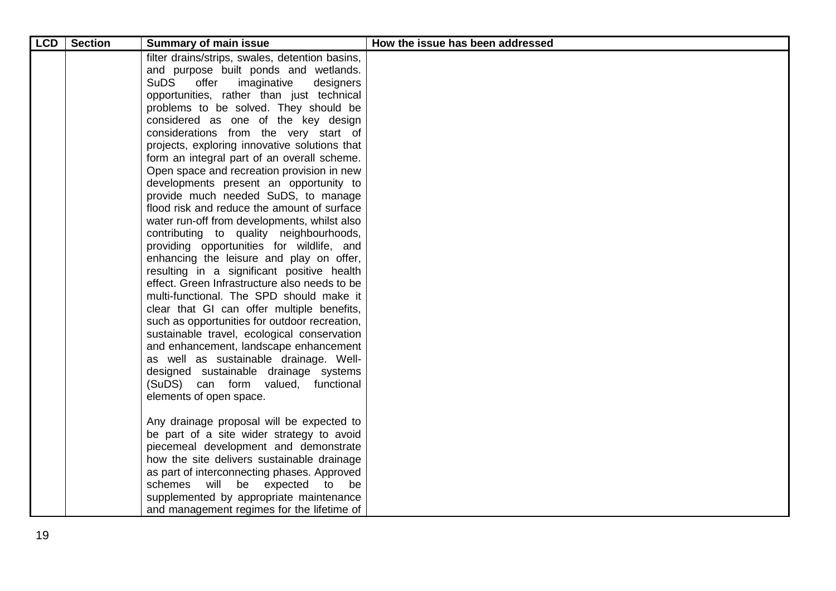| <b>LCD</b> | <b>Section</b> | <b>Summary of main issue</b>                                                | How the issue has been addressed |
|------------|----------------|-----------------------------------------------------------------------------|----------------------------------|
|            |                | filter drains/strips, swales, detention basins,                             |                                  |
|            |                | and purpose built ponds and wetlands.                                       |                                  |
|            |                | <b>SuDS</b><br>offer<br>imaginative<br>designers                            |                                  |
|            |                | opportunities, rather than just technical                                   |                                  |
|            |                | problems to be solved. They should be                                       |                                  |
|            |                | considered as one of the key design                                         |                                  |
|            |                | considerations from the very start of                                       |                                  |
|            |                | projects, exploring innovative solutions that                               |                                  |
|            |                | form an integral part of an overall scheme.                                 |                                  |
|            |                | Open space and recreation provision in new                                  |                                  |
|            |                | developments present an opportunity to                                      |                                  |
|            |                | provide much needed SuDS, to manage                                         |                                  |
|            |                | flood risk and reduce the amount of surface                                 |                                  |
|            |                | water run-off from developments, whilst also                                |                                  |
|            |                | contributing to quality neighbourhoods,                                     |                                  |
|            |                | providing opportunities for wildlife, and                                   |                                  |
|            |                | enhancing the leisure and play on offer,                                    |                                  |
|            |                | resulting in a significant positive health                                  |                                  |
|            |                | effect. Green Infrastructure also needs to be                               |                                  |
|            |                | multi-functional. The SPD should make it                                    |                                  |
|            |                | clear that GI can offer multiple benefits,                                  |                                  |
|            |                | such as opportunities for outdoor recreation,                               |                                  |
|            |                | sustainable travel, ecological conservation                                 |                                  |
|            |                | and enhancement, landscape enhancement                                      |                                  |
|            |                | as well as sustainable drainage. Well-                                      |                                  |
|            |                | designed sustainable drainage systems<br>(SuDS) can form valued, functional |                                  |
|            |                | elements of open space.                                                     |                                  |
|            |                |                                                                             |                                  |
|            |                | Any drainage proposal will be expected to                                   |                                  |
|            |                | be part of a site wider strategy to avoid                                   |                                  |
|            |                | piecemeal development and demonstrate                                       |                                  |
|            |                | how the site delivers sustainable drainage                                  |                                  |
|            |                | as part of interconnecting phases. Approved                                 |                                  |
|            |                | schemes will be expected to be                                              |                                  |
|            |                | supplemented by appropriate maintenance                                     |                                  |
|            |                | and management regimes for the lifetime of                                  |                                  |